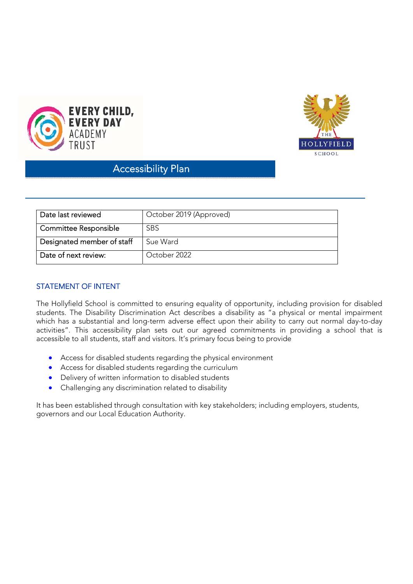



# Accessibility Plan Ĩ

| Date last reviewed           | October 2019 (Approved) |
|------------------------------|-------------------------|
| <b>Committee Responsible</b> | <b>SBS</b>              |
| Designated member of staff   | Sue Ward                |
| Date of next review:         | October 2022            |

# STATEMENT OF INTENT

The Hollyfield School is committed to ensuring equality of opportunity, including provision for disabled students. The Disability Discrimination Act describes a disability as "a physical or mental impairment which has a substantial and long-term adverse effect upon their ability to carry out normal day-to-day activities". This accessibility plan sets out our agreed commitments in providing a school that is accessible to all students, staff and visitors. It's primary focus being to provide

- Access for disabled students regarding the physical environment
- Access for disabled students regarding the curriculum
- Delivery of written information to disabled students
- Challenging any discrimination related to disability

It has been established through consultation with key stakeholders; including employers, students, governors and our Local Education Authority.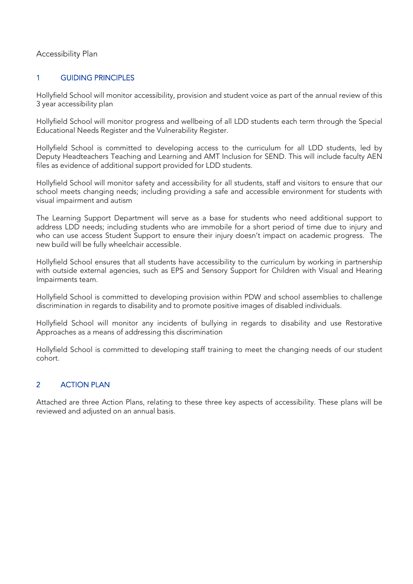#### Accessibility Plan

## 1 GUIDING PRINCIPLES

Hollyfield School will monitor accessibility, provision and student voice as part of the annual review of this 3 year accessibility plan

Hollyfield School will monitor progress and wellbeing of all LDD students each term through the Special Educational Needs Register and the Vulnerability Register.

Hollyfield School is committed to developing access to the curriculum for all LDD students, led by Deputy Headteachers Teaching and Learning and AMT Inclusion for SEND. This will include faculty AEN files as evidence of additional support provided for LDD students.

Hollyfield School will monitor safety and accessibility for all students, staff and visitors to ensure that our school meets changing needs; including providing a safe and accessible environment for students with visual impairment and autism

The Learning Support Department will serve as a base for students who need additional support to address LDD needs; including students who are immobile for a short period of time due to injury and who can use access Student Support to ensure their injury doesn't impact on academic progress. The new build will be fully wheelchair accessible.

Hollyfield School ensures that all students have accessibility to the curriculum by working in partnership with outside external agencies, such as EPS and Sensory Support for Children with Visual and Hearing Impairments team.

Hollyfield School is committed to developing provision within PDW and school assemblies to challenge discrimination in regards to disability and to promote positive images of disabled individuals.

Hollyfield School will monitor any incidents of bullying in regards to disability and use Restorative Approaches as a means of addressing this discrimination

Hollyfield School is committed to developing staff training to meet the changing needs of our student cohort.

# 2 **ACTION PLAN**

Attached are three Action Plans, relating to these three key aspects of accessibility. These plans will be reviewed and adjusted on an annual basis.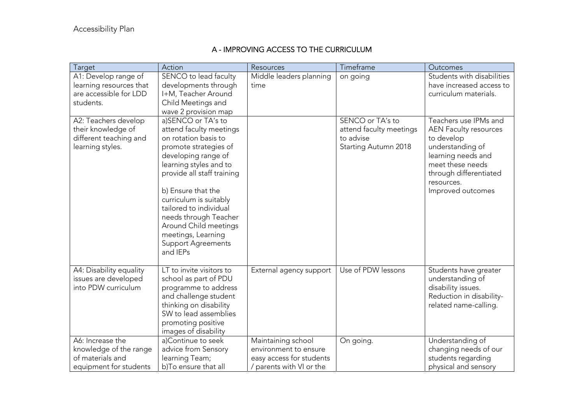# A - IMPROVING ACCESS TO THE CURRICULUM

| Target                                                                                   | Action                                                                                                                                                                                                                                                                                                                                                                   | Resources                                                                                           | Timeframe                                                           | Outcomes                                                                                                                                                              |
|------------------------------------------------------------------------------------------|--------------------------------------------------------------------------------------------------------------------------------------------------------------------------------------------------------------------------------------------------------------------------------------------------------------------------------------------------------------------------|-----------------------------------------------------------------------------------------------------|---------------------------------------------------------------------|-----------------------------------------------------------------------------------------------------------------------------------------------------------------------|
| A1: Develop range of<br>learning resources that<br>are accessible for LDD<br>students.   | SENCO to lead faculty<br>developments through<br>I+M, Teacher Around<br>Child Meetings and<br>wave 2 provision map                                                                                                                                                                                                                                                       | Middle leaders planning<br>time                                                                     | on going<br>SENCO or TA's to                                        | Students with disabilities<br>have increased access to<br>curriculum materials.<br>Teachers use IPMs and                                                              |
| A2: Teachers develop<br>their knowledge of<br>different teaching and<br>learning styles. | a)SENCO or TA's to<br>attend faculty meetings<br>on rotation basis to<br>promote strategies of<br>developing range of<br>learning styles and to<br>provide all staff training<br>b) Ensure that the<br>curriculum is suitably<br>tailored to individual<br>needs through Teacher<br>Around Child meetings<br>meetings, Learning<br><b>Support Agreements</b><br>and IEPs |                                                                                                     | attend faculty meetings<br>to advise<br><b>Starting Autumn 2018</b> | <b>AEN Faculty resources</b><br>to develop<br>understanding of<br>learning needs and<br>meet these needs<br>through differentiated<br>resources.<br>Improved outcomes |
| A4: Disability equality<br>issues are developed<br>into PDW curriculum                   | LT to invite visitors to<br>school as part of PDU<br>programme to address<br>and challenge student<br>thinking on disability<br>SW to lead assemblies<br>promoting positive<br>images of disability                                                                                                                                                                      | External agency support                                                                             | Use of PDW lessons                                                  | Students have greater<br>understanding of<br>disability issues.<br>Reduction in disability-<br>related name-calling.                                                  |
| A6: Increase the<br>knowledge of the range<br>of materials and<br>equipment for students | a)Continue to seek<br>advice from Sensory<br>learning Team;<br>b)To ensure that all                                                                                                                                                                                                                                                                                      | Maintaining school<br>environment to ensure<br>easy access for students<br>/ parents with VI or the | On going.                                                           | Understanding of<br>changing needs of our<br>students regarding<br>physical and sensory                                                                               |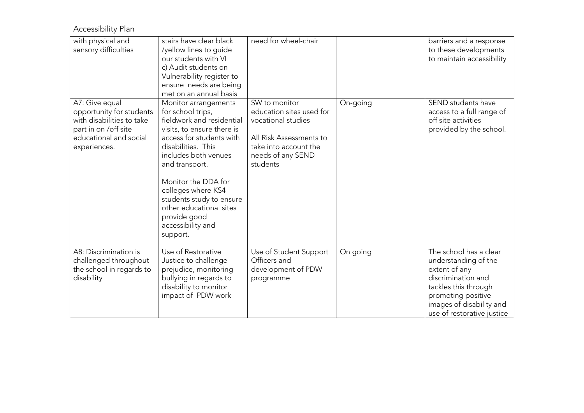Accessibility Plan

| with physical and<br>sensory difficulties                                                                                                 | stairs have clear black<br>/yellow lines to guide<br>our students with VI<br>c) Audit students on<br>Vulnerability register to<br>ensure needs are being<br>met on an annual basis                                                                                                                                                                    | need for wheel-chair                                                                                                                                 |          | barriers and a response<br>to these developments<br>to maintain accessibility                                                                                                                 |
|-------------------------------------------------------------------------------------------------------------------------------------------|-------------------------------------------------------------------------------------------------------------------------------------------------------------------------------------------------------------------------------------------------------------------------------------------------------------------------------------------------------|------------------------------------------------------------------------------------------------------------------------------------------------------|----------|-----------------------------------------------------------------------------------------------------------------------------------------------------------------------------------------------|
| A7: Give equal<br>opportunity for students<br>with disabilities to take<br>part in on /off site<br>educational and social<br>experiences. | Monitor arrangements<br>for school trips,<br>fieldwork and residential<br>visits, to ensure there is<br>access for students with<br>disabilities. This<br>includes both venues<br>and transport.<br>Monitor the DDA for<br>colleges where KS4<br>students study to ensure<br>other educational sites<br>provide good<br>accessibility and<br>support. | SW to monitor<br>education sites used for<br>vocational studies<br>All Risk Assessments to<br>take into account the<br>needs of any SEND<br>students | On-going | SEND students have<br>access to a full range of<br>off site activities<br>provided by the school.                                                                                             |
| A8: Discrimination is<br>challenged throughout<br>the school in regards to<br>disability                                                  | Use of Restorative<br>Justice to challenge<br>prejudice, monitoring<br>bullying in regards to<br>disability to monitor<br>impact of PDW work                                                                                                                                                                                                          | Use of Student Support<br>Officers and<br>development of PDW<br>programme                                                                            | On going | The school has a clear<br>understanding of the<br>extent of any<br>discrimination and<br>tackles this through<br>promoting positive<br>images of disability and<br>use of restorative justice |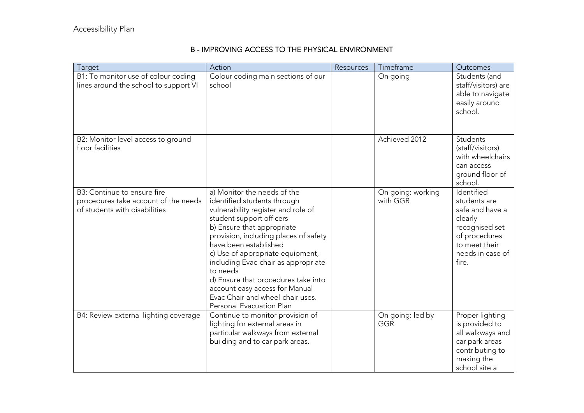## B - IMPROVING ACCESS TO THE PHYSICAL ENVIRONMENT

| Target                                                                                               | Action                                                                                                                                                                                                                                                                                                                                                                                                                                                       | Resources | Timeframe                     | Outcomes                                                                                                                                  |
|------------------------------------------------------------------------------------------------------|--------------------------------------------------------------------------------------------------------------------------------------------------------------------------------------------------------------------------------------------------------------------------------------------------------------------------------------------------------------------------------------------------------------------------------------------------------------|-----------|-------------------------------|-------------------------------------------------------------------------------------------------------------------------------------------|
| B1: To monitor use of colour coding<br>lines around the school to support VI                         | Colour coding main sections of our<br>school                                                                                                                                                                                                                                                                                                                                                                                                                 |           | On going                      | Students (and<br>staff/visitors) are<br>able to navigate<br>easily around<br>school.                                                      |
| B2: Monitor level access to ground<br>floor facilities                                               |                                                                                                                                                                                                                                                                                                                                                                                                                                                              |           | Achieved 2012                 | Students<br>(staff/visitors)<br>with wheelchairs<br>can access<br>ground floor of<br>school.                                              |
| B3: Continue to ensure fire<br>procedures take account of the needs<br>of students with disabilities | a) Monitor the needs of the<br>identified students through<br>vulnerability register and role of<br>student support officers<br>b) Ensure that appropriate<br>provision, including places of safety<br>have been established<br>c) Use of appropriate equipment,<br>including Evac-chair as appropriate<br>to needs<br>d) Ensure that procedures take into<br>account easy access for Manual<br>Evac Chair and wheel-chair uses.<br>Personal Evacuation Plan |           | On going: working<br>with GGR | Identified<br>students are<br>safe and have a<br>clearly<br>recognised set<br>of procedures<br>to meet their<br>needs in case of<br>fire. |
| B4: Review external lighting coverage                                                                | Continue to monitor provision of<br>lighting for external areas in<br>particular walkways from external<br>building and to car park areas.                                                                                                                                                                                                                                                                                                                   |           | On going: led by<br>GGR       | Proper lighting<br>is provided to<br>all walkways and<br>car park areas<br>contributing to<br>making the<br>school site a                 |